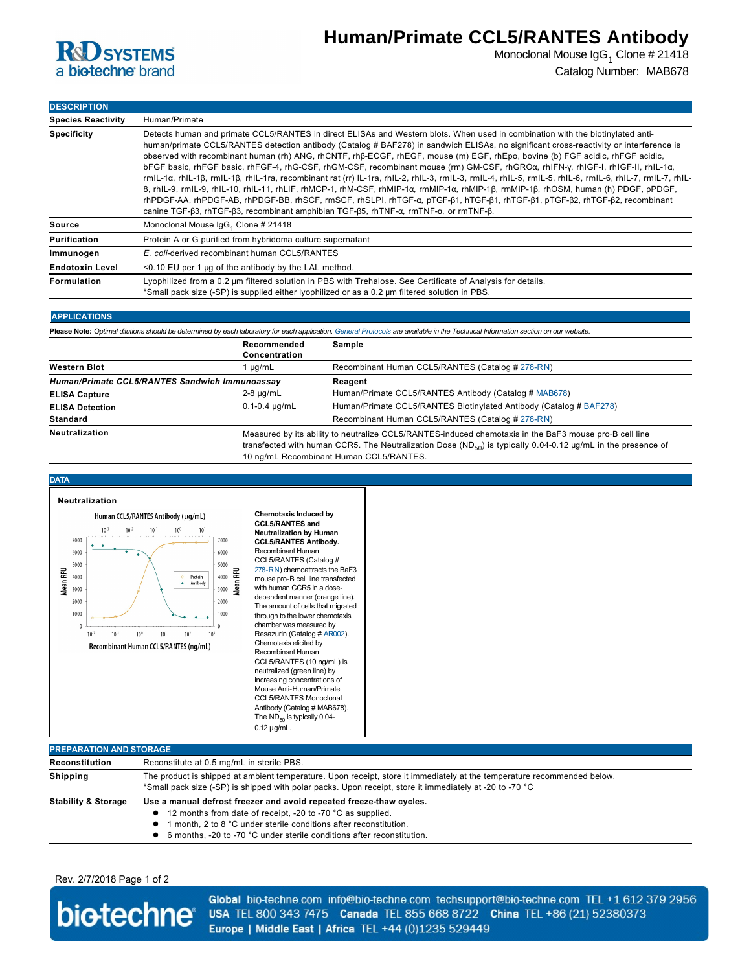

Monoclonal Mouse IgG $_1$  Clone # 21418 Catalog Number: MAB678

**DESCRIPTION Species Reactivity** Human/Primate **Specificity** Detects human and primate CCL5/RANTES in direct ELISAs and Western blots. When used in combination with the biotinylated antihuman/primate CCL5/RANTES detection antibody (Catalog # BAF278) in sandwich ELISAs, no significant cross-reactivity or interference is observed with recombinant human (rh) ANG, rhCNTF, rhβECGF, rhEGF, mouse (m) EGF, rhEpo, bovine (b) FGF acidic, rhFGF acidic, bFGF basic, rhFGF basic, rhFGF-4, rhG-CSF, rhGM-CSF, recombinant mouse (rm) GM-CSF, rhGROα, rhIFN-γ, rhIGF-I, rhIGF-II, rhIL-1α, rmIL-1α, rhIL-1β, rmIL-1β, rhIL-1ra, recombinant rat (rr) IL-1ra, rhIL-2, rhIL-3, rmIL-3, rmIL-4, rhIL-5, rmIL-5, rmIL-6, rmIL-6, rmIL-7, rmIL-7, rhIL-8, rhIL9, rmIL9, rhIL10, rhIL11, rhLIF, rhMCP1, rhMCSF, rhMIP1α, rmMIP1α, rhMIP1β, rmMIP1β, rhOSM, human (h) PDGF, pPDGF, rhPDGF-AA, rhPDGF-AB, rhPDGF-BB, rhSCF, rmSCF, rhSLPI, rhTGF-α, pTGF-β1, hTGF-β1, rhTGF-β1, pTGF-β2, rhTGF-β2, recombinant canine TGF-β3, rhTGF-β3, recombinant amphibian TGF-β5, rhTNF-α, rmTNF-α, or rmTNF-β. **Source** Monoclonal Mouse IgG<sub>1</sub> Clone # 21418 **Purification** Protein A or G purified from hybridoma culture supernatant **Immunogen** *E. coli-***derived recombinant human CCL5/RANTES Endotoxin Level** <0.10 EU per 1 μg of the antibody by the LAL method. **Formulation** Lyophilized from a 0.2 μm filtered solution in PBS with Trehalose. See Certificate of Analysis for details.  $^{\star}$ Small pack size (-SP) is supplied either lyophilized or as a 0.2  $\mu$ m filtered solution in PBS.

## **APPLICATIONS**

Please Note: Optimal dilutions should be determined by each laboratory for each application. [General Protocols](http://www.rndsystems.com/resources/protocols-troubleshooting-guides) are available in the Technical Information section on our website.

|                                                | Recommended<br>Concentration                                                                                                                                                                                                 | Sample                                                             |
|------------------------------------------------|------------------------------------------------------------------------------------------------------------------------------------------------------------------------------------------------------------------------------|--------------------------------------------------------------------|
| <b>Western Blot</b>                            | µg/mL                                                                                                                                                                                                                        | Recombinant Human CCL5/RANTES (Catalog # 278-RN)                   |
| Human/Primate CCL5/RANTES Sandwich Immunoassay |                                                                                                                                                                                                                              | Reagent                                                            |
| <b>ELISA Capture</b>                           | $2-8 \mu q/mL$                                                                                                                                                                                                               | Human/Primate CCL5/RANTES Antibody (Catalog # MAB678)              |
| <b>ELISA Detection</b>                         | $0.1 - 0.4 \mu q/mL$                                                                                                                                                                                                         | Human/Primate CCL5/RANTES Biotinylated Antibody (Catalog # BAF278) |
| <b>Standard</b>                                |                                                                                                                                                                                                                              | Recombinant Human CCL5/RANTES (Catalog # 278-RN)                   |
| <b>Neutralization</b>                          | Measured by its ability to neutralize CCL5/RANTES-induced chemotaxis in the BaF3 mouse pro-B cell line<br>transfected with human CCR5. The Neutralization Dose ( $ND_{F0}$ ) is typically 0.04-0.12 µg/mL in the presence of |                                                                    |

10 ng/mL Recombinant Human CCL5/RANTES.



| Reconstitution                 | Reconstitute at 0.5 mg/mL in sterile PBS.                                                                               |  |  |
|--------------------------------|-------------------------------------------------------------------------------------------------------------------------|--|--|
| Shipping                       | The product is shipped at ambient temperature. Upon receipt, store it immediately at the temperature recommended below. |  |  |
|                                | *Small pack size (-SP) is shipped with polar packs. Upon receipt, store it immediately at -20 to -70 °C                 |  |  |
| <b>Stability &amp; Storage</b> | Use a manual defrost freezer and avoid repeated freeze-thaw cycles.                                                     |  |  |
|                                | 12 months from date of receipt, -20 to -70 °C as supplied.                                                              |  |  |
|                                | month, 2 to 8 °C under sterile conditions after reconstitution.                                                         |  |  |
|                                | 6 months, -20 to -70 °C under sterile conditions after reconstitution.                                                  |  |  |

## Rev. 2/7/2018 Page 1 of 2



Global bio-techne.com info@bio-techne.com techsupport@bio-techne.com TEL +1 612 379 2956 USA TEL 800 343 7475 Canada TEL 855 668 8722 China TEL +86 (21) 52380373 Europe | Middle East | Africa TEL +44 (0)1235 529449